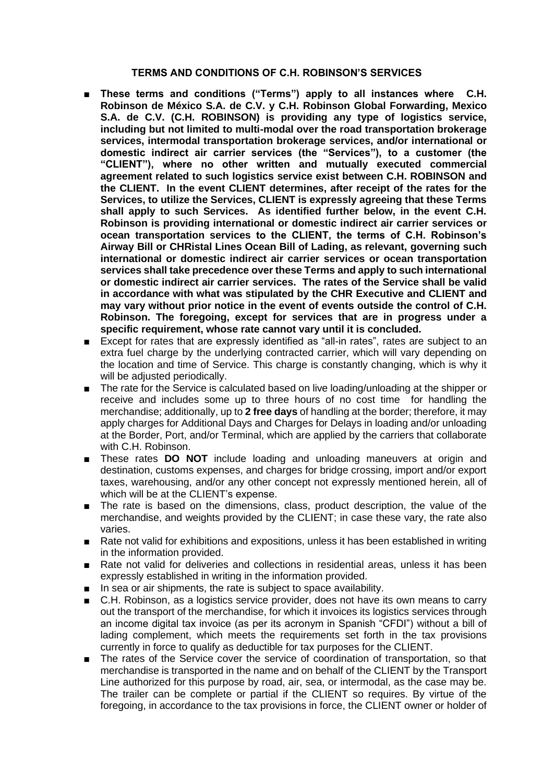## **TERMS AND CONDITIONS OF C.H. ROBINSON'S SERVICES**

- These terms and conditions ("Terms") apply to all instances where C.H. **Robinson de México S.A. de C.V. y C.H. Robinson Global Forwarding, Mexico S.A. de C.V. (C.H. ROBINSON) is providing any type of logistics service, including but not limited to multi-modal over the road transportation brokerage services, intermodal transportation brokerage services, and/or international or domestic indirect air carrier services (the "Services"), to a customer (the "CLIENT"), where no other written and mutually executed commercial agreement related to such logistics service exist between C.H. ROBINSON and the CLIENT. In the event CLIENT determines, after receipt of the rates for the Services, to utilize the Services, CLIENT is expressly agreeing that these Terms shall apply to such Services. As identified further below, in the event C.H. Robinson is providing international or domestic indirect air carrier services or ocean transportation services to the CLIENT, the terms of C.H. Robinson's Airway Bill or CHRistal Lines Ocean Bill of Lading, as relevant, governing such international or domestic indirect air carrier services or ocean transportation services shall take precedence over these Terms and apply to such international or domestic indirect air carrier services. The rates of the Service shall be valid in accordance with what was stipulated by the CHR Executive and CLIENT and may vary without prior notice in the event of events outside the control of C.H. Robinson. The foregoing, except for services that are in progress under a specific requirement, whose rate cannot vary until it is concluded.**
- Except for rates that are expressly identified as "all-in rates", rates are subject to an extra fuel charge by the underlying contracted carrier, which will vary depending on the location and time of Service. This charge is constantly changing, which is why it will be adjusted periodically.
- The rate for the Service is calculated based on live loading/unloading at the shipper or receive and includes some up to three hours of no cost time for handling the merchandise; additionally, up to **2 free days** of handling at the border; therefore, it may apply charges for Additional Days and Charges for Delays in loading and/or unloading at the Border, Port, and/or Terminal, which are applied by the carriers that collaborate with C.H. Robinson.
- These rates **DO NOT** include loading and unloading maneuvers at origin and destination, customs expenses, and charges for bridge crossing, import and/or export taxes, warehousing, and/or any other concept not expressly mentioned herein, all of which will be at the CLIENT's expense.
- The rate is based on the dimensions, class, product description, the value of the merchandise, and weights provided by the CLIENT; in case these vary, the rate also varies.
- Rate not valid for exhibitions and expositions, unless it has been established in writing in the information provided.
- Rate not valid for deliveries and collections in residential areas, unless it has been expressly established in writing in the information provided.
- In sea or air shipments, the rate is subject to space availability.
- C.H. Robinson, as a logistics service provider, does not have its own means to carry out the transport of the merchandise, for which it invoices its logistics services through an income digital tax invoice (as per its acronym in Spanish "CFDI") without a bill of lading complement, which meets the requirements set forth in the tax provisions currently in force to qualify as deductible for tax purposes for the CLIENT.
- The rates of the Service cover the service of coordination of transportation, so that merchandise is transported in the name and on behalf of the CLIENT by the Transport Line authorized for this purpose by road, air, sea, or intermodal, as the case may be. The trailer can be complete or partial if the CLIENT so requires. By virtue of the foregoing, in accordance to the tax provisions in force, the CLIENT owner or holder of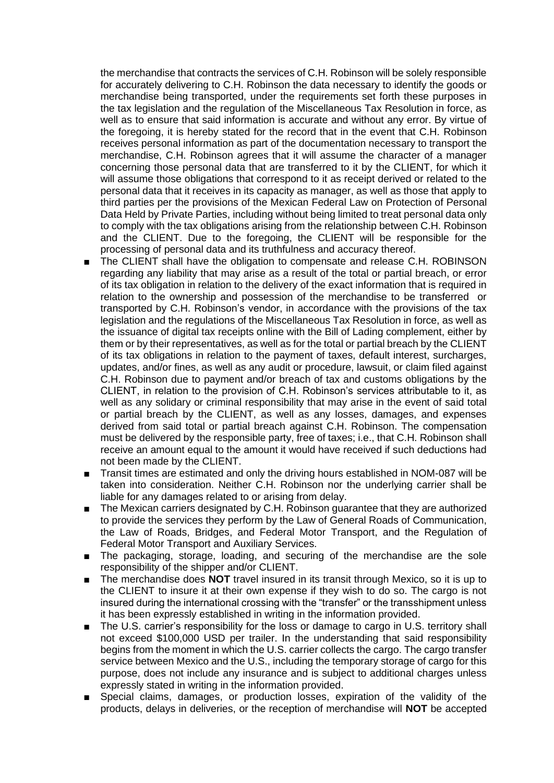the merchandise that contracts the services of C.H. Robinson will be solely responsible for accurately delivering to C.H. Robinson the data necessary to identify the goods or merchandise being transported, under the requirements set forth these purposes in the tax legislation and the regulation of the Miscellaneous Tax Resolution in force, as well as to ensure that said information is accurate and without any error. By virtue of the foregoing, it is hereby stated for the record that in the event that C.H. Robinson receives personal information as part of the documentation necessary to transport the merchandise, C.H. Robinson agrees that it will assume the character of a manager concerning those personal data that are transferred to it by the CLIENT, for which it will assume those obligations that correspond to it as receipt derived or related to the personal data that it receives in its capacity as manager, as well as those that apply to third parties per the provisions of the Mexican Federal Law on Protection of Personal Data Held by Private Parties, including without being limited to treat personal data only to comply with the tax obligations arising from the relationship between C.H. Robinson and the CLIENT. Due to the foregoing, the CLIENT will be responsible for the processing of personal data and its truthfulness and accuracy thereof.

- The CLIENT shall have the obligation to compensate and release C.H. ROBINSON regarding any liability that may arise as a result of the total or partial breach, or error of its tax obligation in relation to the delivery of the exact information that is required in relation to the ownership and possession of the merchandise to be transferred or transported by C.H. Robinson's vendor, in accordance with the provisions of the tax legislation and the regulations of the Miscellaneous Tax Resolution in force, as well as the issuance of digital tax receipts online with the Bill of Lading complement, either by them or by their representatives, as well as for the total or partial breach by the CLIENT of its tax obligations in relation to the payment of taxes, default interest, surcharges, updates, and/or fines, as well as any audit or procedure, lawsuit, or claim filed against C.H. Robinson due to payment and/or breach of tax and customs obligations by the CLIENT, in relation to the provision of C.H. Robinson's services attributable to it, as well as any solidary or criminal responsibility that may arise in the event of said total or partial breach by the CLIENT, as well as any losses, damages, and expenses derived from said total or partial breach against C.H. Robinson. The compensation must be delivered by the responsible party, free of taxes; i.e., that C.H. Robinson shall receive an amount equal to the amount it would have received if such deductions had not been made by the CLIENT.
- Transit times are estimated and only the driving hours established in NOM-087 will be taken into consideration. Neither C.H. Robinson nor the underlying carrier shall be liable for any damages related to or arising from delay.
- The Mexican carriers designated by C.H. Robinson guarantee that they are authorized to provide the services they perform by the Law of General Roads of Communication, the Law of Roads, Bridges, and Federal Motor Transport, and the Regulation of Federal Motor Transport and Auxiliary Services.
- The packaging, storage, loading, and securing of the merchandise are the sole responsibility of the shipper and/or CLIENT.
- The merchandise does **NOT** travel insured in its transit through Mexico, so it is up to the CLIENT to insure it at their own expense if they wish to do so. The cargo is not insured during the international crossing with the "transfer" or the transshipment unless it has been expressly established in writing in the information provided.
- The U.S. carrier's responsibility for the loss or damage to cargo in U.S. territory shall not exceed \$100,000 USD per trailer. In the understanding that said responsibility begins from the moment in which the U.S. carrier collects the cargo. The cargo transfer service between Mexico and the U.S., including the temporary storage of cargo for this purpose, does not include any insurance and is subject to additional charges unless expressly stated in writing in the information provided.
- Special claims, damages, or production losses, expiration of the validity of the products, delays in deliveries, or the reception of merchandise will **NOT** be accepted